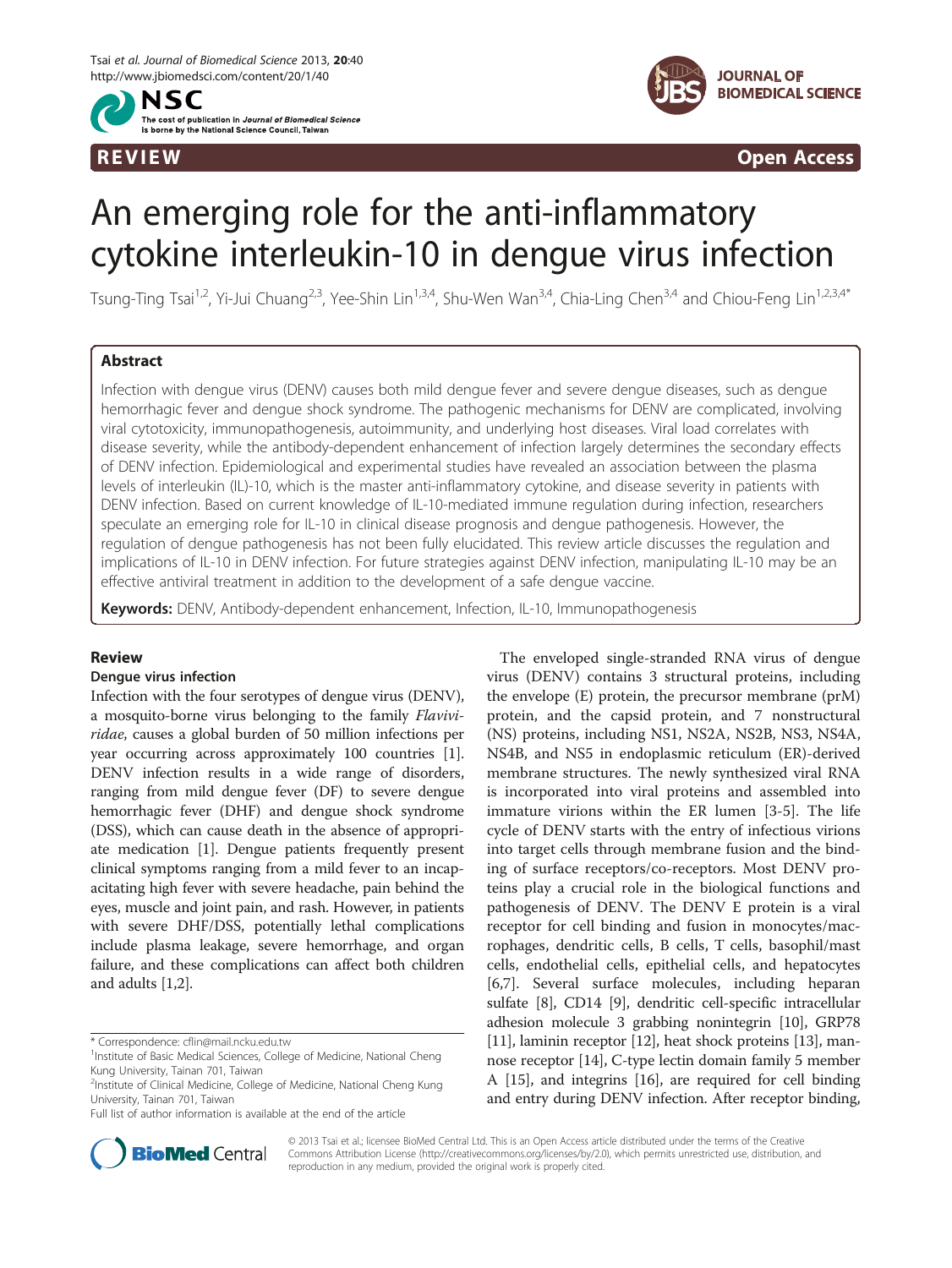



R EVI EW Open Access

# An emerging role for the anti-inflammatory cytokine interleukin-10 in dengue virus infection

Tsung-Ting Tsai<sup>1,2</sup>, Yi-Jui Chuang<sup>2,3</sup>, Yee-Shin Lin<sup>1,3,4</sup>, Shu-Wen Wan<sup>3,4</sup>, Chia-Ling Chen<sup>3,4</sup> and Chiou-Feng Lin<sup>1,2,3,4\*</sup>

# Abstract

Infection with dengue virus (DENV) causes both mild dengue fever and severe dengue diseases, such as dengue hemorrhagic fever and dengue shock syndrome. The pathogenic mechanisms for DENV are complicated, involving viral cytotoxicity, immunopathogenesis, autoimmunity, and underlying host diseases. Viral load correlates with disease severity, while the antibody-dependent enhancement of infection largely determines the secondary effects of DENV infection. Epidemiological and experimental studies have revealed an association between the plasma levels of interleukin (IL)-10, which is the master anti-inflammatory cytokine, and disease severity in patients with DENV infection. Based on current knowledge of IL-10-mediated immune regulation during infection, researchers speculate an emerging role for IL-10 in clinical disease prognosis and dengue pathogenesis. However, the regulation of dengue pathogenesis has not been fully elucidated. This review article discusses the regulation and implications of IL-10 in DENV infection. For future strategies against DENV infection, manipulating IL-10 may be an effective antiviral treatment in addition to the development of a safe dengue vaccine.

Keywords: DENV, Antibody-dependent enhancement, Infection, IL-10, Immunopathogenesis

## Review

## Dengue virus infection

Infection with the four serotypes of dengue virus (DENV), a mosquito-borne virus belonging to the family Flaviviridae, causes a global burden of 50 million infections per year occurring across approximately 100 countries [[1](#page-5-0)]. DENV infection results in a wide range of disorders, ranging from mild dengue fever (DF) to severe dengue hemorrhagic fever (DHF) and dengue shock syndrome (DSS), which can cause death in the absence of appropriate medication [[1\]](#page-5-0). Dengue patients frequently present clinical symptoms ranging from a mild fever to an incapacitating high fever with severe headache, pain behind the eyes, muscle and joint pain, and rash. However, in patients with severe DHF/DSS, potentially lethal complications include plasma leakage, severe hemorrhage, and organ failure, and these complications can affect both children and adults [[1,2\]](#page-5-0).





© 2013 Tsai et al.; licensee BioMed Central Ltd. This is an Open Access article distributed under the terms of the Creative Commons Attribution License [\(http://creativecommons.org/licenses/by/2.0\)](http://creativecommons.org/licenses/by/2.0), which permits unrestricted use, distribution, and reproduction in any medium, provided the original work is properly cited.

<sup>\*</sup> Correspondence: [cflin@mail.ncku.edu.tw](mailto:cflin@mail.ncku.edu.tw) <sup>1</sup>

<sup>&</sup>lt;sup>1</sup> Institute of Basic Medical Sciences, College of Medicine, National Cheng Kung University, Tainan 701, Taiwan

<sup>&</sup>lt;sup>2</sup>Institute of Clinical Medicine, College of Medicine, National Cheng Kung University, Tainan 701, Taiwan

Full list of author information is available at the end of the article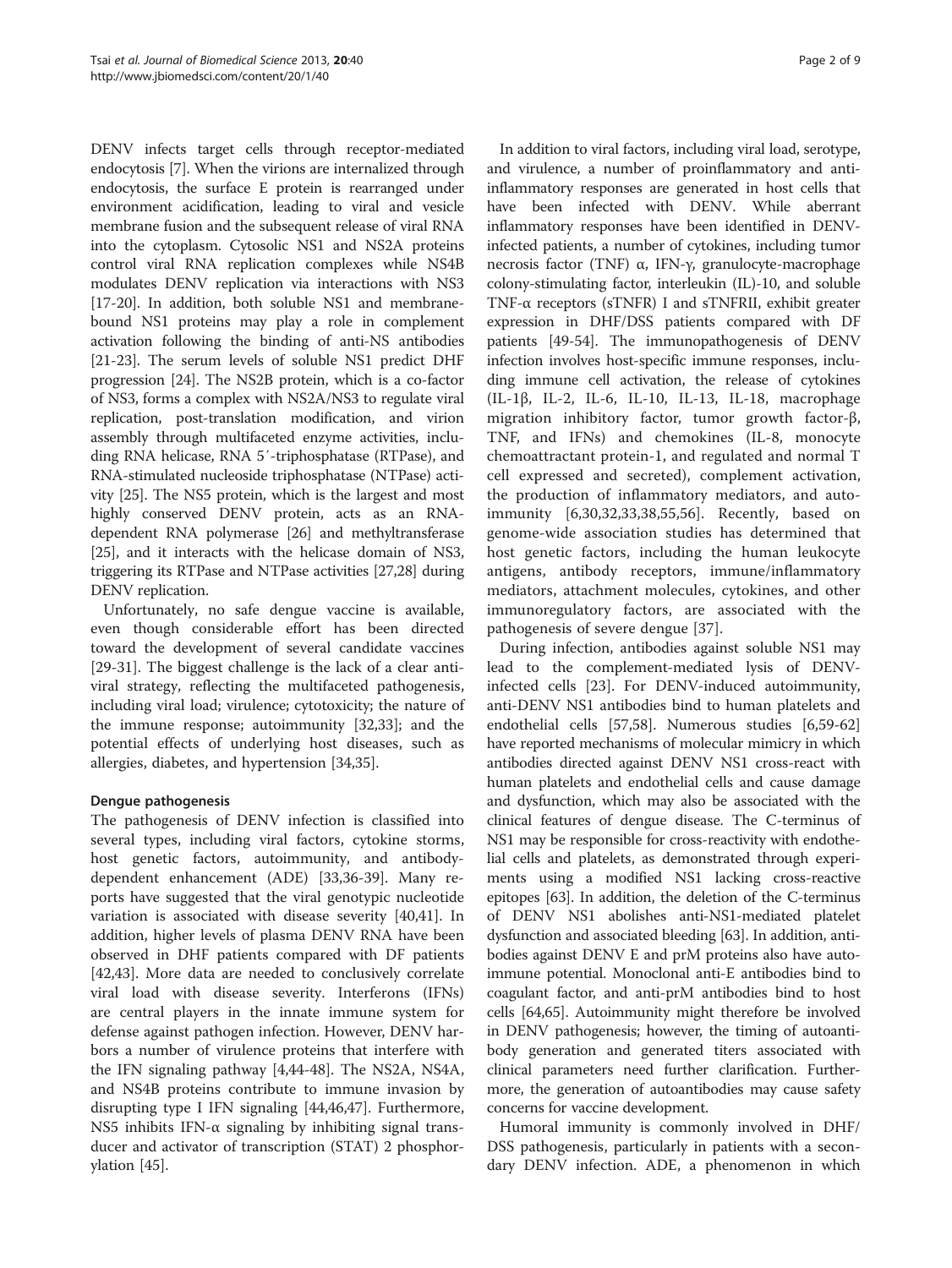DENV infects target cells through receptor-mediated endocytosis [[7\]](#page-5-0). When the virions are internalized through endocytosis, the surface E protein is rearranged under environment acidification, leading to viral and vesicle membrane fusion and the subsequent release of viral RNA into the cytoplasm. Cytosolic NS1 and NS2A proteins control viral RNA replication complexes while NS4B modulates DENV replication via interactions with NS3 [[17](#page-5-0)-[20\]](#page-6-0). In addition, both soluble NS1 and membranebound NS1 proteins may play a role in complement activation following the binding of anti-NS antibodies [[21](#page-6-0)-[23\]](#page-6-0). The serum levels of soluble NS1 predict DHF progression [[24\]](#page-6-0). The NS2B protein, which is a co-factor of NS3, forms a complex with NS2A/NS3 to regulate viral replication, post-translation modification, and virion assembly through multifaceted enzyme activities, including RNA helicase, RNA 5′-triphosphatase (RTPase), and RNA-stimulated nucleoside triphosphatase (NTPase) activity [\[25](#page-6-0)]. The NS5 protein, which is the largest and most highly conserved DENV protein, acts as an RNAdependent RNA polymerase [\[26](#page-6-0)] and methyltransferase [[25](#page-6-0)], and it interacts with the helicase domain of NS3, triggering its RTPase and NTPase activities [[27,28](#page-6-0)] during DENV replication.

Unfortunately, no safe dengue vaccine is available, even though considerable effort has been directed toward the development of several candidate vaccines [[29-31](#page-6-0)]. The biggest challenge is the lack of a clear antiviral strategy, reflecting the multifaceted pathogenesis, including viral load; virulence; cytotoxicity; the nature of the immune response; autoimmunity [[32,33](#page-6-0)]; and the potential effects of underlying host diseases, such as allergies, diabetes, and hypertension [\[34,35](#page-6-0)].

# Dengue pathogenesis

The pathogenesis of DENV infection is classified into several types, including viral factors, cytokine storms, host genetic factors, autoimmunity, and antibodydependent enhancement (ADE) [[33,36](#page-6-0)-[39\]](#page-6-0). Many reports have suggested that the viral genotypic nucleotide variation is associated with disease severity [[40,41\]](#page-6-0). In addition, higher levels of plasma DENV RNA have been observed in DHF patients compared with DF patients [[42,43\]](#page-6-0). More data are needed to conclusively correlate viral load with disease severity. Interferons (IFNs) are central players in the innate immune system for defense against pathogen infection. However, DENV harbors a number of virulence proteins that interfere with the IFN signaling pathway [[4](#page-5-0),[44](#page-6-0)-[48\]](#page-6-0). The NS2A, NS4A, and NS4B proteins contribute to immune invasion by disrupting type I IFN signaling [\[44,46,47](#page-6-0)]. Furthermore, NS5 inhibits IFN- $\alpha$  signaling by inhibiting signal transducer and activator of transcription (STAT) 2 phosphorylation [\[45](#page-6-0)].

In addition to viral factors, including viral load, serotype, and virulence, a number of proinflammatory and antiinflammatory responses are generated in host cells that have been infected with DENV. While aberrant inflammatory responses have been identified in DENVinfected patients, a number of cytokines, including tumor necrosis factor (TNF) α, IFN-γ, granulocyte-macrophage colony-stimulating factor, interleukin (IL)-10, and soluble TNF-α receptors (sTNFR) I and sTNFRII, exhibit greater expression in DHF/DSS patients compared with DF patients [\[49-54](#page-6-0)]. The immunopathogenesis of DENV infection involves host-specific immune responses, including immune cell activation, the release of cytokines (IL-1β, IL-2, IL-6, IL-10, IL-13, IL-18, macrophage migration inhibitory factor, tumor growth factor-β, TNF, and IFNs) and chemokines (IL-8, monocyte chemoattractant protein-1, and regulated and normal T cell expressed and secreted), complement activation, the production of inflammatory mediators, and autoimmunity [[6](#page-5-0)[,30,32,33,38,55,56](#page-6-0)]. Recently, based on genome-wide association studies has determined that host genetic factors, including the human leukocyte antigens, antibody receptors, immune/inflammatory mediators, attachment molecules, cytokines, and other immunoregulatory factors, are associated with the pathogenesis of severe dengue [[37](#page-6-0)].

During infection, antibodies against soluble NS1 may lead to the complement-mediated lysis of DENVinfected cells [[23](#page-6-0)]. For DENV-induced autoimmunity, anti-DENV NS1 antibodies bind to human platelets and endothelial cells [[57,58\]](#page-6-0). Numerous studies [\[6](#page-5-0)[,59](#page-6-0)-[62](#page-6-0)] have reported mechanisms of molecular mimicry in which antibodies directed against DENV NS1 cross-react with human platelets and endothelial cells and cause damage and dysfunction, which may also be associated with the clinical features of dengue disease. The C-terminus of NS1 may be responsible for cross-reactivity with endothelial cells and platelets, as demonstrated through experiments using a modified NS1 lacking cross-reactive epitopes [\[63](#page-6-0)]. In addition, the deletion of the C-terminus of DENV NS1 abolishes anti-NS1-mediated platelet dysfunction and associated bleeding [[63](#page-6-0)]. In addition, antibodies against DENV E and prM proteins also have autoimmune potential. Monoclonal anti-E antibodies bind to coagulant factor, and anti-prM antibodies bind to host cells [\[64,65\]](#page-7-0). Autoimmunity might therefore be involved in DENV pathogenesis; however, the timing of autoantibody generation and generated titers associated with clinical parameters need further clarification. Furthermore, the generation of autoantibodies may cause safety concerns for vaccine development.

Humoral immunity is commonly involved in DHF/ DSS pathogenesis, particularly in patients with a secondary DENV infection. ADE, a phenomenon in which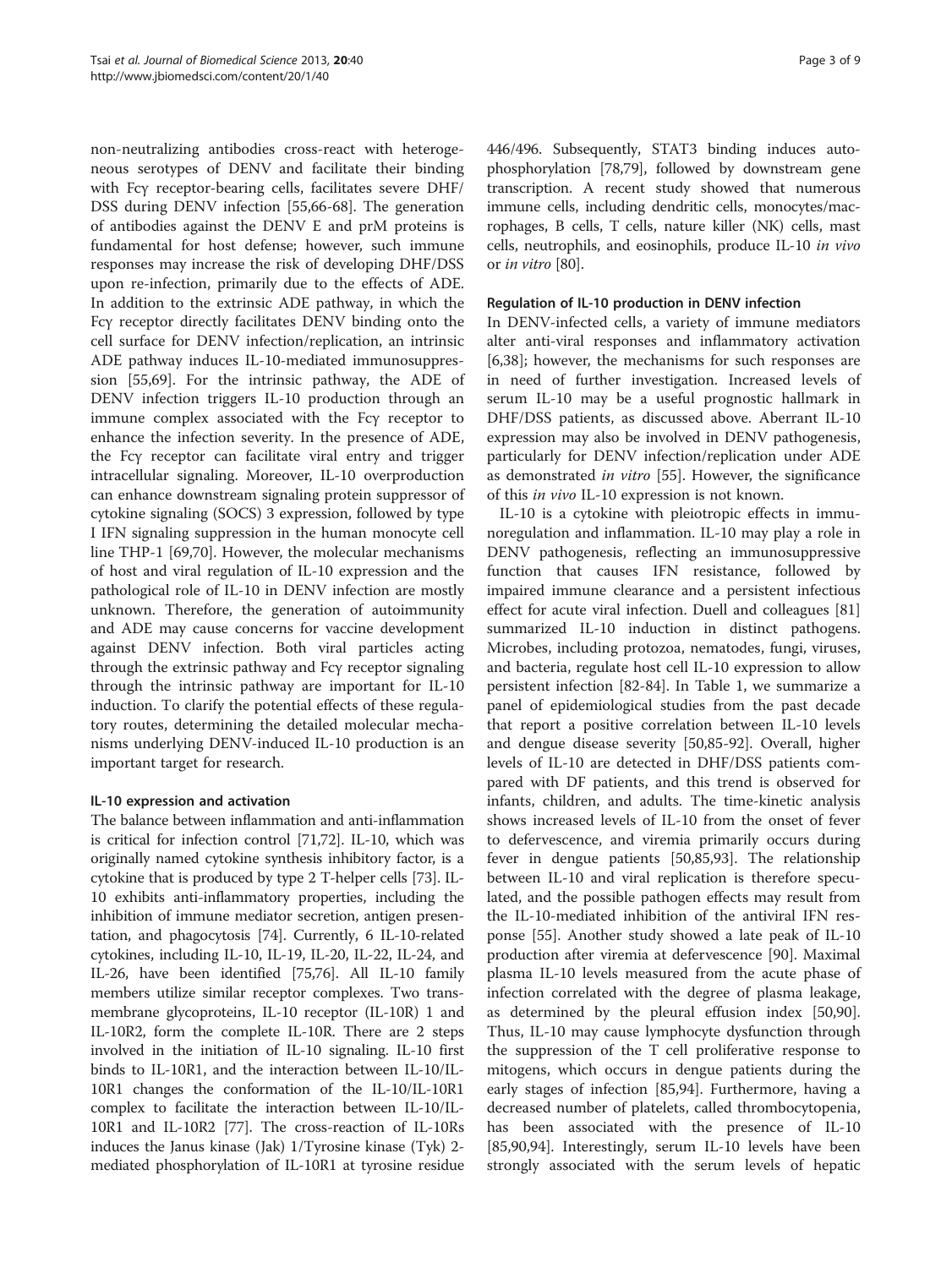non-neutralizing antibodies cross-react with heterogeneous serotypes of DENV and facilitate their binding with Fcγ receptor-bearing cells, facilitates severe DHF/ DSS during DENV infection [[55,](#page-6-0)[66-68\]](#page-7-0). The generation of antibodies against the DENV E and prM proteins is fundamental for host defense; however, such immune responses may increase the risk of developing DHF/DSS upon re-infection, primarily due to the effects of ADE. In addition to the extrinsic ADE pathway, in which the Fcγ receptor directly facilitates DENV binding onto the cell surface for DENV infection/replication, an intrinsic ADE pathway induces IL-10-mediated immunosuppression [[55,](#page-6-0)[69\]](#page-7-0). For the intrinsic pathway, the ADE of DENV infection triggers IL-10 production through an immune complex associated with the Fcγ receptor to enhance the infection severity. In the presence of ADE, the Fcγ receptor can facilitate viral entry and trigger intracellular signaling. Moreover, IL-10 overproduction can enhance downstream signaling protein suppressor of cytokine signaling (SOCS) 3 expression, followed by type I IFN signaling suppression in the human monocyte cell line THP-1 [[69](#page-7-0),[70](#page-7-0)]. However, the molecular mechanisms of host and viral regulation of IL-10 expression and the pathological role of IL-10 in DENV infection are mostly unknown. Therefore, the generation of autoimmunity and ADE may cause concerns for vaccine development against DENV infection. Both viral particles acting through the extrinsic pathway and Fcγ receptor signaling through the intrinsic pathway are important for IL-10 induction. To clarify the potential effects of these regulatory routes, determining the detailed molecular mechanisms underlying DENV-induced IL-10 production is an important target for research.

## IL-10 expression and activation

The balance between inflammation and anti-inflammation is critical for infection control [\[71,72](#page-7-0)]. IL-10, which was originally named cytokine synthesis inhibitory factor, is a cytokine that is produced by type 2 T-helper cells [[73](#page-7-0)]. IL-10 exhibits anti-inflammatory properties, including the inhibition of immune mediator secretion, antigen presentation, and phagocytosis [\[74](#page-7-0)]. Currently, 6 IL-10-related cytokines, including IL-10, IL-19, IL-20, IL-22, IL-24, and IL-26, have been identified [\[75,76\]](#page-7-0). All IL-10 family members utilize similar receptor complexes. Two transmembrane glycoproteins, IL-10 receptor (IL-10R) 1 and IL-10R2, form the complete IL-10R. There are 2 steps involved in the initiation of IL-10 signaling. IL-10 first binds to IL-10R1, and the interaction between IL-10/IL-10R1 changes the conformation of the IL-10/IL-10R1 complex to facilitate the interaction between IL-10/IL-10R1 and IL-10R2 [\[77\]](#page-7-0). The cross-reaction of IL-10Rs induces the Janus kinase (Jak) 1/Tyrosine kinase (Tyk) 2 mediated phosphorylation of IL-10R1 at tyrosine residue

446/496. Subsequently, STAT3 binding induces autophosphorylation [\[78,79\]](#page-7-0), followed by downstream gene transcription. A recent study showed that numerous immune cells, including dendritic cells, monocytes/macrophages, B cells, T cells, nature killer (NK) cells, mast cells, neutrophils, and eosinophils, produce IL-10 in vivo or in vitro [[80](#page-7-0)].

# Regulation of IL-10 production in DENV infection

In DENV-infected cells, a variety of immune mediators alter anti-viral responses and inflammatory activation [[6,](#page-5-0)[38\]](#page-6-0); however, the mechanisms for such responses are in need of further investigation. Increased levels of serum IL-10 may be a useful prognostic hallmark in DHF/DSS patients, as discussed above. Aberrant IL-10 expression may also be involved in DENV pathogenesis, particularly for DENV infection/replication under ADE as demonstrated in vitro [[55\]](#page-6-0). However, the significance of this in vivo IL-10 expression is not known.

IL-10 is a cytokine with pleiotropic effects in immunoregulation and inflammation. IL-10 may play a role in DENV pathogenesis, reflecting an immunosuppressive function that causes IFN resistance, followed by impaired immune clearance and a persistent infectious effect for acute viral infection. Duell and colleagues [[81](#page-7-0)] summarized IL-10 induction in distinct pathogens. Microbes, including protozoa, nematodes, fungi, viruses, and bacteria, regulate host cell IL-10 expression to allow persistent infection [[82](#page-7-0)-[84\]](#page-7-0). In Table [1](#page-3-0), we summarize a panel of epidemiological studies from the past decade that report a positive correlation between IL-10 levels and dengue disease severity [[50,](#page-6-0)[85-92\]](#page-7-0). Overall, higher levels of IL-10 are detected in DHF/DSS patients compared with DF patients, and this trend is observed for infants, children, and adults. The time-kinetic analysis shows increased levels of IL-10 from the onset of fever to defervescence, and viremia primarily occurs during fever in dengue patients [[50](#page-6-0),[85](#page-7-0),[93](#page-7-0)]. The relationship between IL-10 and viral replication is therefore speculated, and the possible pathogen effects may result from the IL-10-mediated inhibition of the antiviral IFN response [[55\]](#page-6-0). Another study showed a late peak of IL-10 production after viremia at defervescence [[90\]](#page-7-0). Maximal plasma IL-10 levels measured from the acute phase of infection correlated with the degree of plasma leakage, as determined by the pleural effusion index [\[50](#page-6-0)[,90](#page-7-0)]. Thus, IL-10 may cause lymphocyte dysfunction through the suppression of the T cell proliferative response to mitogens, which occurs in dengue patients during the early stages of infection [\[85,94\]](#page-7-0). Furthermore, having a decreased number of platelets, called thrombocytopenia, has been associated with the presence of IL-10 [[85,90,94\]](#page-7-0). Interestingly, serum IL-10 levels have been strongly associated with the serum levels of hepatic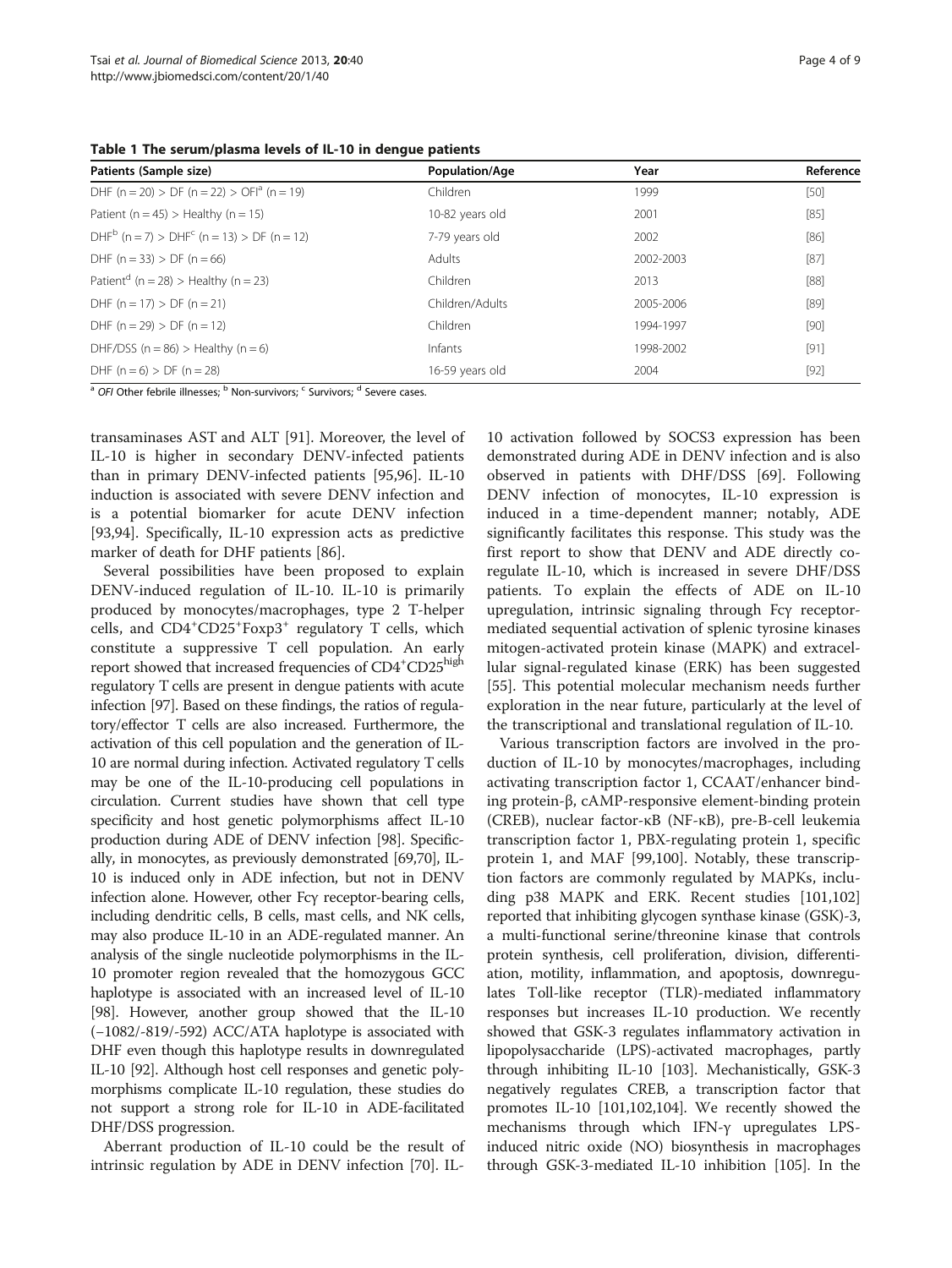<span id="page-3-0"></span>

| Table 1 The serum/plasma levels of IL-10 in dengue patients |  |  |  |
|-------------------------------------------------------------|--|--|--|
|-------------------------------------------------------------|--|--|--|

| Patients (Sample size)                                 | Population/Age  | Year      | Reference |
|--------------------------------------------------------|-----------------|-----------|-----------|
| DHF (n = 20) > DF (n = 22) > OFI <sup>a</sup> (n = 19) | Children        | 1999      | $[50]$    |
| Patient ( $n = 45$ ) > Healthy ( $n = 15$ )            | 10-82 years old | 2001      | $[85]$    |
| $DHFb$ (n = 7) > $DHFc$ (n = 13) > $DF$ (n = 12)       | 7-79 years old  | 2002      | [86]      |
| DHF $(n = 33)$ > DF $(n = 66)$                         | Adults          | 2002-2003 | [87]      |
| Patient <sup>d</sup> (n = 28) > Healthy (n = 23)       | Children        | 2013      | $[88]$    |
| DHF $(n = 17)$ > DF $(n = 21)$                         | Children/Adults | 2005-2006 | $[89]$    |
| DHF $(n = 29)$ > DF $(n = 12)$                         | Children        | 1994-1997 | $[90]$    |
| DHF/DSS ( $n = 86$ ) > Healthy ( $n = 6$ )             | Infants         | 1998-2002 | $[91]$    |
| DHF $(n = 6) > DF (n = 28)$                            | 16-59 years old | 2004      | $[92]$    |

 $a$  OFI Other febrile illnesses;  $b$  Non-survivors;  $c$  Survivors;  $d$  Severe cases.

transaminases AST and ALT [\[91](#page-7-0)]. Moreover, the level of IL-10 is higher in secondary DENV-infected patients than in primary DENV-infected patients [[95](#page-7-0),[96](#page-7-0)]. IL-10 induction is associated with severe DENV infection and is a potential biomarker for acute DENV infection [[93,94\]](#page-7-0). Specifically, IL-10 expression acts as predictive marker of death for DHF patients [[86\]](#page-7-0).

Several possibilities have been proposed to explain DENV-induced regulation of IL-10. IL-10 is primarily produced by monocytes/macrophages, type 2 T-helper cells, and CD4<sup>+</sup>CD25<sup>+</sup>Foxp3<sup>+</sup> regulatory T cells, which constitute a suppressive T cell population. An early report showed that increased frequencies of CD4<sup>+</sup>CD25<sup>high</sup> regulatory T cells are present in dengue patients with acute infection [\[97\]](#page-7-0). Based on these findings, the ratios of regulatory/effector T cells are also increased. Furthermore, the activation of this cell population and the generation of IL-10 are normal during infection. Activated regulatory T cells may be one of the IL-10-producing cell populations in circulation. Current studies have shown that cell type specificity and host genetic polymorphisms affect IL-10 production during ADE of DENV infection [[98](#page-7-0)]. Specifically, in monocytes, as previously demonstrated [\[69,70](#page-7-0)], IL-10 is induced only in ADE infection, but not in DENV infection alone. However, other Fcγ receptor-bearing cells, including dendritic cells, B cells, mast cells, and NK cells, may also produce IL-10 in an ADE-regulated manner. An analysis of the single nucleotide polymorphisms in the IL-10 promoter region revealed that the homozygous GCC haplotype is associated with an increased level of IL-10 [[98](#page-7-0)]. However, another group showed that the IL-10 (−1082/-819/-592) ACC/ATA haplotype is associated with DHF even though this haplotype results in downregulated IL-10 [\[92](#page-7-0)]. Although host cell responses and genetic polymorphisms complicate IL-10 regulation, these studies do not support a strong role for IL-10 in ADE-facilitated DHF/DSS progression.

Aberrant production of IL-10 could be the result of intrinsic regulation by ADE in DENV infection [[70](#page-7-0)]. IL-

10 activation followed by SOCS3 expression has been demonstrated during ADE in DENV infection and is also observed in patients with DHF/DSS [[69\]](#page-7-0). Following DENV infection of monocytes, IL-10 expression is induced in a time-dependent manner; notably, ADE significantly facilitates this response. This study was the first report to show that DENV and ADE directly coregulate IL-10, which is increased in severe DHF/DSS patients. To explain the effects of ADE on IL-10 upregulation, intrinsic signaling through Fcγ receptormediated sequential activation of splenic tyrosine kinases mitogen-activated protein kinase (MAPK) and extracellular signal-regulated kinase (ERK) has been suggested [[55\]](#page-6-0). This potential molecular mechanism needs further exploration in the near future, particularly at the level of the transcriptional and translational regulation of IL-10.

Various transcription factors are involved in the production of IL-10 by monocytes/macrophages, including activating transcription factor 1, CCAAT/enhancer binding protein-β, cAMP-responsive element-binding protein (CREB), nuclear factor-κB (NF-κB), pre-B-cell leukemia transcription factor 1, PBX-regulating protein 1, specific protein 1, and MAF [\[99,100\]](#page-7-0). Notably, these transcription factors are commonly regulated by MAPKs, including p38 MAPK and ERK. Recent studies [[101,102](#page-7-0)] reported that inhibiting glycogen synthase kinase (GSK)-3, a multi-functional serine/threonine kinase that controls protein synthesis, cell proliferation, division, differentiation, motility, inflammation, and apoptosis, downregulates Toll-like receptor (TLR)-mediated inflammatory responses but increases IL-10 production. We recently showed that GSK-3 regulates inflammatory activation in lipopolysaccharide (LPS)-activated macrophages, partly through inhibiting IL-10 [\[103](#page-7-0)]. Mechanistically, GSK-3 negatively regulates CREB, a transcription factor that promotes IL-10 [\[101,102,104\]](#page-7-0). We recently showed the mechanisms through which IFN-γ upregulates LPSinduced nitric oxide (NO) biosynthesis in macrophages through GSK-3-mediated IL-10 inhibition [[105](#page-7-0)]. In the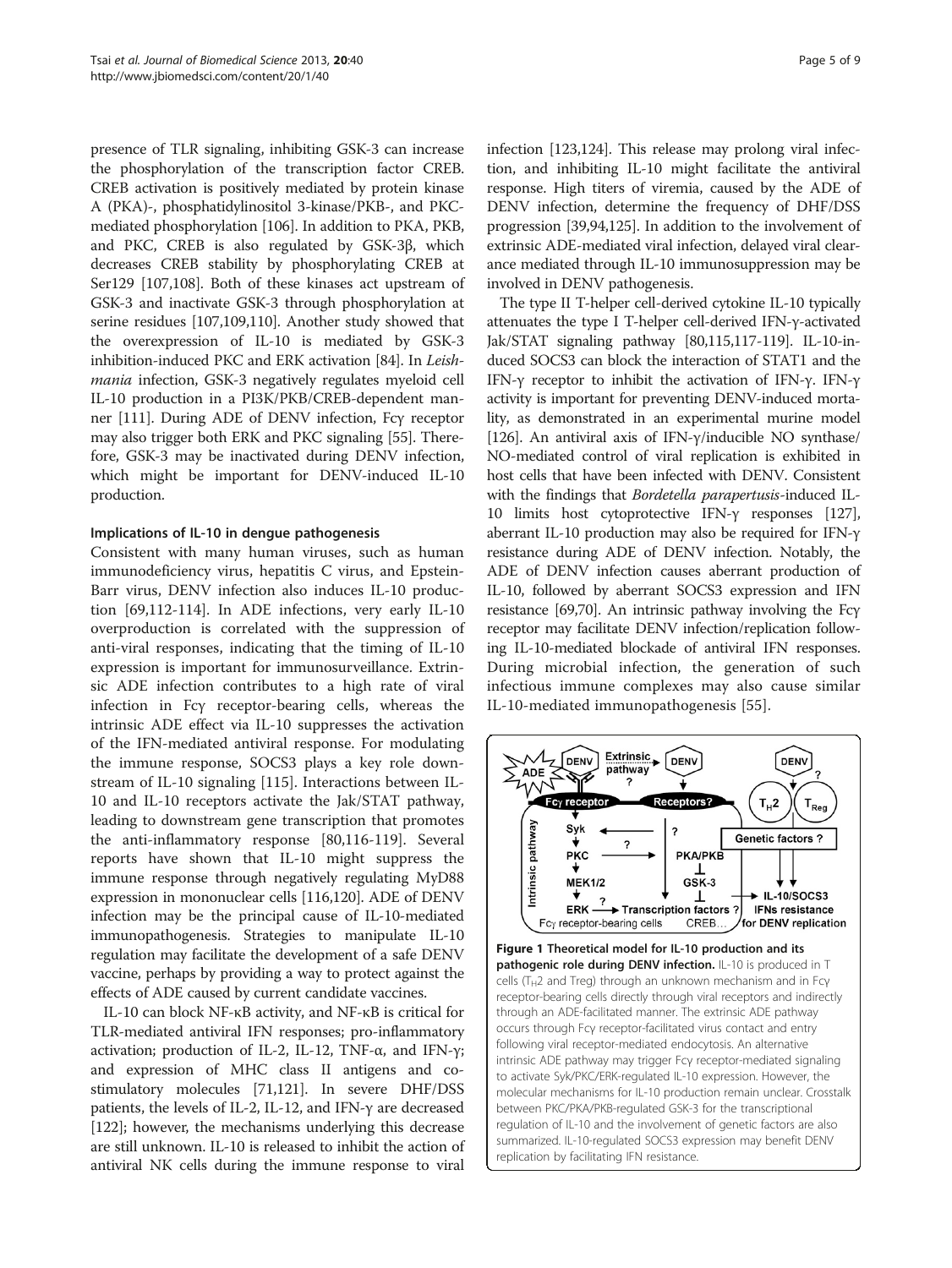<span id="page-4-0"></span>presence of TLR signaling, inhibiting GSK-3 can increase the phosphorylation of the transcription factor CREB. CREB activation is positively mediated by protein kinase A (PKA)-, phosphatidylinositol 3-kinase/PKB-, and PKCmediated phosphorylation [[106](#page-8-0)]. In addition to PKA, PKB, and PKC, CREB is also regulated by GSK-3β, which decreases CREB stability by phosphorylating CREB at Ser129 [\[107,108](#page-8-0)]. Both of these kinases act upstream of GSK-3 and inactivate GSK-3 through phosphorylation at serine residues [\[107,109,110](#page-8-0)]. Another study showed that the overexpression of IL-10 is mediated by GSK-3 inhibition-induced PKC and ERK activation [[84\]](#page-7-0). In Leishmania infection, GSK-3 negatively regulates myeloid cell IL-10 production in a PI3K/PKB/CREB-dependent manner [[111](#page-8-0)]. During ADE of DENV infection, Fcγ receptor may also trigger both ERK and PKC signaling [[55](#page-6-0)]. Therefore, GSK-3 may be inactivated during DENV infection, which might be important for DENV-induced IL-10 production.

## Implications of IL-10 in dengue pathogenesis

Consistent with many human viruses, such as human immunodeficiency virus, hepatitis C virus, and Epstein-Barr virus, DENV infection also induces IL-10 production [\[69,](#page-7-0)[112-114](#page-8-0)]. In ADE infections, very early IL-10 overproduction is correlated with the suppression of anti-viral responses, indicating that the timing of IL-10 expression is important for immunosurveillance. Extrinsic ADE infection contributes to a high rate of viral infection in Fcγ receptor-bearing cells, whereas the intrinsic ADE effect via IL-10 suppresses the activation of the IFN-mediated antiviral response. For modulating the immune response, SOCS3 plays a key role downstream of IL-10 signaling [\[115\]](#page-8-0). Interactions between IL-10 and IL-10 receptors activate the Jak/STAT pathway, leading to downstream gene transcription that promotes the anti-inflammatory response [\[80,](#page-7-0)[116-119\]](#page-8-0). Several reports have shown that IL-10 might suppress the immune response through negatively regulating MyD88 expression in mononuclear cells [[116,120\]](#page-8-0). ADE of DENV infection may be the principal cause of IL-10-mediated immunopathogenesis. Strategies to manipulate IL-10 regulation may facilitate the development of a safe DENV vaccine, perhaps by providing a way to protect against the effects of ADE caused by current candidate vaccines.

IL-10 can block NF-κB activity, and NF-κB is critical for TLR-mediated antiviral IFN responses; pro-inflammatory activation; production of IL-2, IL-12, TNF- $\alpha$ , and IFN-γ; and expression of MHC class II antigens and costimulatory molecules [\[71](#page-7-0)[,121\]](#page-8-0). In severe DHF/DSS patients, the levels of IL-2, IL-12, and IFN-γ are decreased [[122](#page-8-0)]; however, the mechanisms underlying this decrease are still unknown. IL-10 is released to inhibit the action of antiviral NK cells during the immune response to viral

infection [[123,124\]](#page-8-0). This release may prolong viral infection, and inhibiting IL-10 might facilitate the antiviral response. High titers of viremia, caused by the ADE of DENV infection, determine the frequency of DHF/DSS progression [\[39](#page-6-0)[,94,](#page-7-0)[125](#page-8-0)]. In addition to the involvement of extrinsic ADE-mediated viral infection, delayed viral clearance mediated through IL-10 immunosuppression may be involved in DENV pathogenesis.

The type II T-helper cell-derived cytokine IL-10 typically attenuates the type I T-helper cell-derived IFN-γ-activated Jak/STAT signaling pathway [\[80](#page-7-0)[,115,117-119](#page-8-0)]. IL-10-induced SOCS3 can block the interaction of STAT1 and the IFN-γ receptor to inhibit the activation of IFN-γ. IFN-γ activity is important for preventing DENV-induced mortality, as demonstrated in an experimental murine model [[126](#page-8-0)]. An antiviral axis of IFN-γ/inducible NO synthase/ NO-mediated control of viral replication is exhibited in host cells that have been infected with DENV. Consistent with the findings that Bordetella parapertusis-induced IL-10 limits host cytoprotective IFN-γ responses [\[127](#page-8-0)], aberrant IL-10 production may also be required for IFN-γ resistance during ADE of DENV infection. Notably, the ADE of DENV infection causes aberrant production of IL-10, followed by aberrant SOCS3 expression and IFN resistance [\[69,70](#page-7-0)]. An intrinsic pathway involving the Fcγ receptor may facilitate DENV infection/replication following IL-10-mediated blockade of antiviral IFN responses. During microbial infection, the generation of such infectious immune complexes may also cause similar IL-10-mediated immunopathogenesis [[55](#page-6-0)].

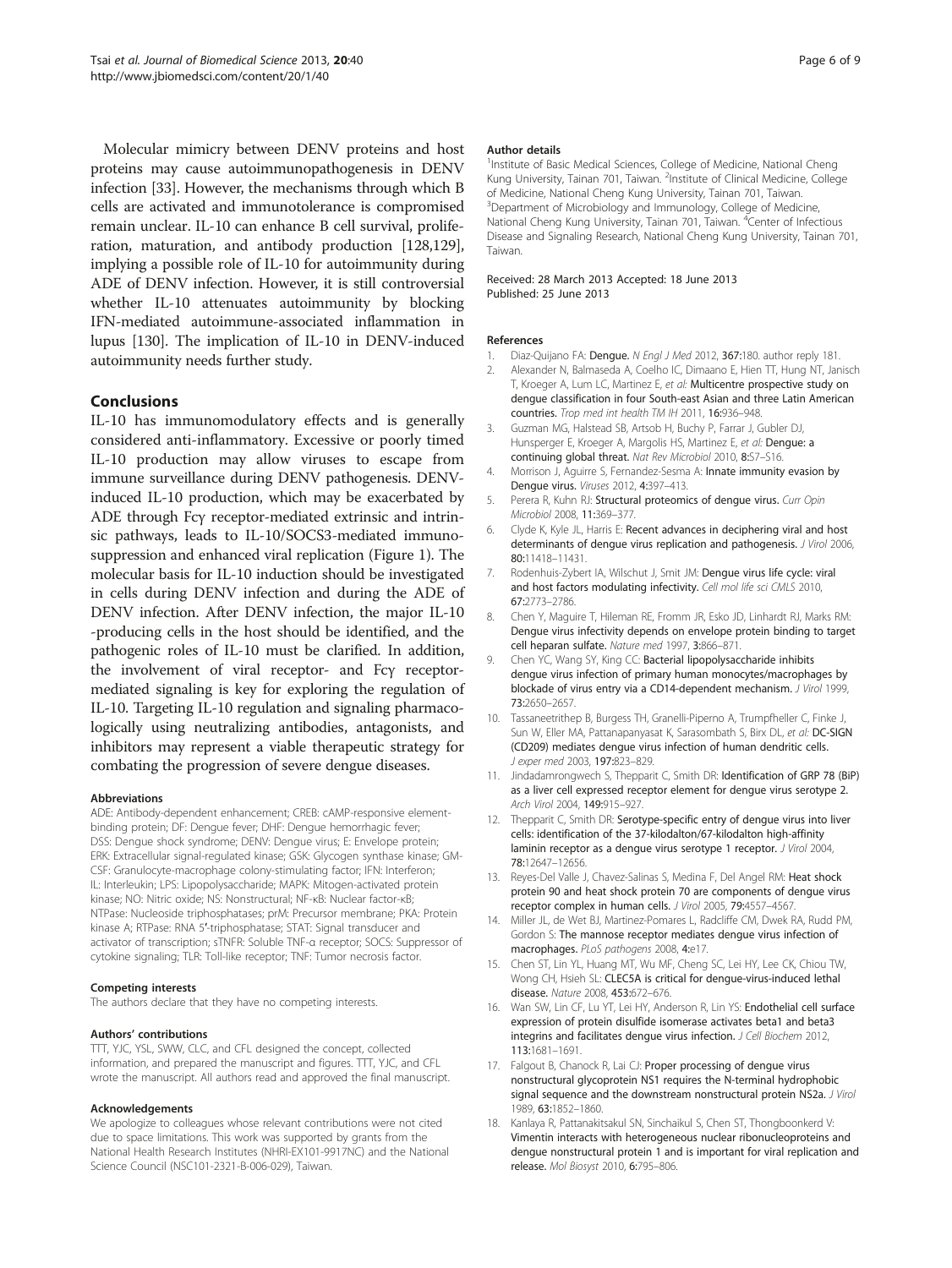<span id="page-5-0"></span>Molecular mimicry between DENV proteins and host proteins may cause autoimmunopathogenesis in DENV infection [[33](#page-6-0)]. However, the mechanisms through which B cells are activated and immunotolerance is compromised remain unclear. IL-10 can enhance B cell survival, proliferation, maturation, and antibody production [\[128,129](#page-8-0)], implying a possible role of IL-10 for autoimmunity during ADE of DENV infection. However, it is still controversial whether IL-10 attenuates autoimmunity by blocking IFN-mediated autoimmune-associated inflammation in lupus [[130](#page-8-0)]. The implication of IL-10 in DENV-induced autoimmunity needs further study.

## **Conclusions**

IL-10 has immunomodulatory effects and is generally considered anti-inflammatory. Excessive or poorly timed IL-10 production may allow viruses to escape from immune surveillance during DENV pathogenesis. DENVinduced IL-10 production, which may be exacerbated by ADE through Fcγ receptor-mediated extrinsic and intrinsic pathways, leads to IL-10/SOCS3-mediated immunosuppression and enhanced viral replication (Figure [1\)](#page-4-0). The molecular basis for IL-10 induction should be investigated in cells during DENV infection and during the ADE of DENV infection. After DENV infection, the major IL-10 -producing cells in the host should be identified, and the pathogenic roles of IL-10 must be clarified. In addition, the involvement of viral receptor- and Fcγ receptormediated signaling is key for exploring the regulation of IL-10. Targeting IL-10 regulation and signaling pharmacologically using neutralizing antibodies, antagonists, and inhibitors may represent a viable therapeutic strategy for combating the progression of severe dengue diseases.

#### Abbreviations

ADE: Antibody-dependent enhancement; CREB: cAMP-responsive elementbinding protein; DF: Dengue fever; DHF: Dengue hemorrhagic fever; DSS: Dengue shock syndrome; DENV: Dengue virus; E: Envelope protein; ERK: Extracellular signal-regulated kinase; GSK: Glycogen synthase kinase; GM-CSF: Granulocyte-macrophage colony-stimulating factor; IFN: Interferon; IL: Interleukin; LPS: Lipopolysaccharide; MAPK: Mitogen-activated protein kinase; NO: Nitric oxide; NS: Nonstructural; NF-κB: Nuclear factor-κB; NTPase: Nucleoside triphosphatases; prM: Precursor membrane; PKA: Protein kinase A; RTPase: RNA 5′-triphosphatase; STAT: Signal transducer and activator of transcription; sTNFR: Soluble TNF-α receptor; SOCS: Suppressor of cytokine signaling; TLR: Toll-like receptor; TNF: Tumor necrosis factor.

#### Competing interests

The authors declare that they have no competing interests.

#### Authors' contributions

TTT, YJC, YSL, SWW, CLC, and CFL designed the concept, collected information, and prepared the manuscript and figures. TTT, YJC, and CFL wrote the manuscript. All authors read and approved the final manuscript.

#### Acknowledgements

We apologize to colleagues whose relevant contributions were not cited due to space limitations. This work was supported by grants from the National Health Research Institutes (NHRI-EX101-9917NC) and the National Science Council (NSC101-2321-B-006-029), Taiwan.

#### Author details

<sup>1</sup>Institute of Basic Medical Sciences, College of Medicine, National Cheng Kung University, Tainan 701, Taiwan. <sup>2</sup>Institute of Clinical Medicine, College of Medicine, National Cheng Kung University, Tainan 701, Taiwan. <sup>3</sup> Department of Microbiology and Immunology, College of Medicine, National Cheng Kung University, Tainan 701, Taiwan. <sup>4</sup>Center of Infectious Disease and Signaling Research, National Cheng Kung University, Tainan 701, Taiwan.

### Received: 28 March 2013 Accepted: 18 June 2013 Published: 25 June 2013

## References

- 1. Diaz-Quijano FA: Dengue. N Engl J Med 2012, 367:180. author reply 181.
- 2. Alexander N, Balmaseda A, Coelho IC, Dimaano E, Hien TT, Hung NT, Janisch T, Kroeger A, Lum LC, Martinez E, et al: Multicentre prospective study on dengue classification in four South-east Asian and three Latin American countries. Trop med int health TM IH 2011, 16:936–948.
- 3. Guzman MG, Halstead SB, Artsob H, Buchy P, Farrar J, Gubler DJ, Hunsperger E, Kroeger A, Margolis HS, Martinez E, et al: Dengue: a continuing global threat. Nat Rev Microbiol 2010, 8:S7–S16.
- 4. Morrison J, Aguirre S, Fernandez-Sesma A: Innate immunity evasion by Dengue virus. Viruses 2012, 4:397–413.
- 5. Perera R, Kuhn RJ: Structural proteomics of dengue virus. Curr Opin Microbiol 2008, 11:369–377.
- 6. Clyde K, Kyle JL, Harris E: Recent advances in deciphering viral and host determinants of dengue virus replication and pathogenesis. J Virol 2006, 80:11418–11431.
- 7. Rodenhuis-Zybert IA, Wilschut J, Smit JM: Dengue virus life cycle: viral and host factors modulating infectivity. Cell mol life sci CMLS 2010, 67:2773–2786.
- 8. Chen Y, Maguire T, Hileman RE, Fromm JR, Esko JD, Linhardt RJ, Marks RM: Dengue virus infectivity depends on envelope protein binding to target cell heparan sulfate. Nature med 1997, 3:866–871.
- 9. Chen YC, Wang SY, King CC: Bacterial lipopolysaccharide inhibits dengue virus infection of primary human monocytes/macrophages by blockade of virus entry via a CD14-dependent mechanism. J Virol 1999, 73:2650–2657.
- 10. Tassaneetrithep B, Burgess TH, Granelli-Piperno A, Trumpfheller C, Finke J, Sun W, Eller MA, Pattanapanyasat K, Sarasombath S, Birx DL, et al: DC-SIGN (CD209) mediates dengue virus infection of human dendritic cells. J exper med 2003, 197:823–829.
- 11. Jindadamrongwech S, Thepparit C, Smith DR: Identification of GRP 78 (BiP) as a liver cell expressed receptor element for dengue virus serotype 2. Arch Virol 2004, 149:915–927.
- 12. Thepparit C, Smith DR: Serotype-specific entry of dengue virus into liver cells: identification of the 37-kilodalton/67-kilodalton high-affinity laminin receptor as a dengue virus serotype 1 receptor. J Virol 2004, 78:12647–12656.
- 13. Reyes-Del Valle J, Chavez-Salinas S, Medina F, Del Angel RM: Heat shock protein 90 and heat shock protein 70 are components of dengue virus receptor complex in human cells. J Virol 2005, 79:4557–4567.
- 14. Miller JL, de Wet BJ, Martinez-Pomares L, Radcliffe CM, Dwek RA, Rudd PM, Gordon S: The mannose receptor mediates dengue virus infection of macrophages. PLoS pathogens 2008, 4:e17.
- 15. Chen ST, Lin YL, Huang MT, Wu MF, Cheng SC, Lei HY, Lee CK, Chiou TW, Wong CH, Hsieh SL: CLEC5A is critical for dengue-virus-induced lethal disease. Nature 2008, 453:672–676.
- 16. Wan SW, Lin CF, Lu YT, Lei HY, Anderson R, Lin YS: Endothelial cell surface expression of protein disulfide isomerase activates beta1 and beta3 integrins and facilitates dengue virus infection. J Cell Biochem 2012, 113:1681–1691.
- 17. Falgout B, Chanock R, Lai CJ: Proper processing of dengue virus nonstructural glycoprotein NS1 requires the N-terminal hydrophobic signal sequence and the downstream nonstructural protein NS2a. J Virol 1989, 63:1852–1860.
- 18. Kanlaya R, Pattanakitsakul SN, Sinchaikul S, Chen ST, Thongboonkerd V: Vimentin interacts with heterogeneous nuclear ribonucleoproteins and dengue nonstructural protein 1 and is important for viral replication and release. Mol Biosyst 2010, 6:795–806.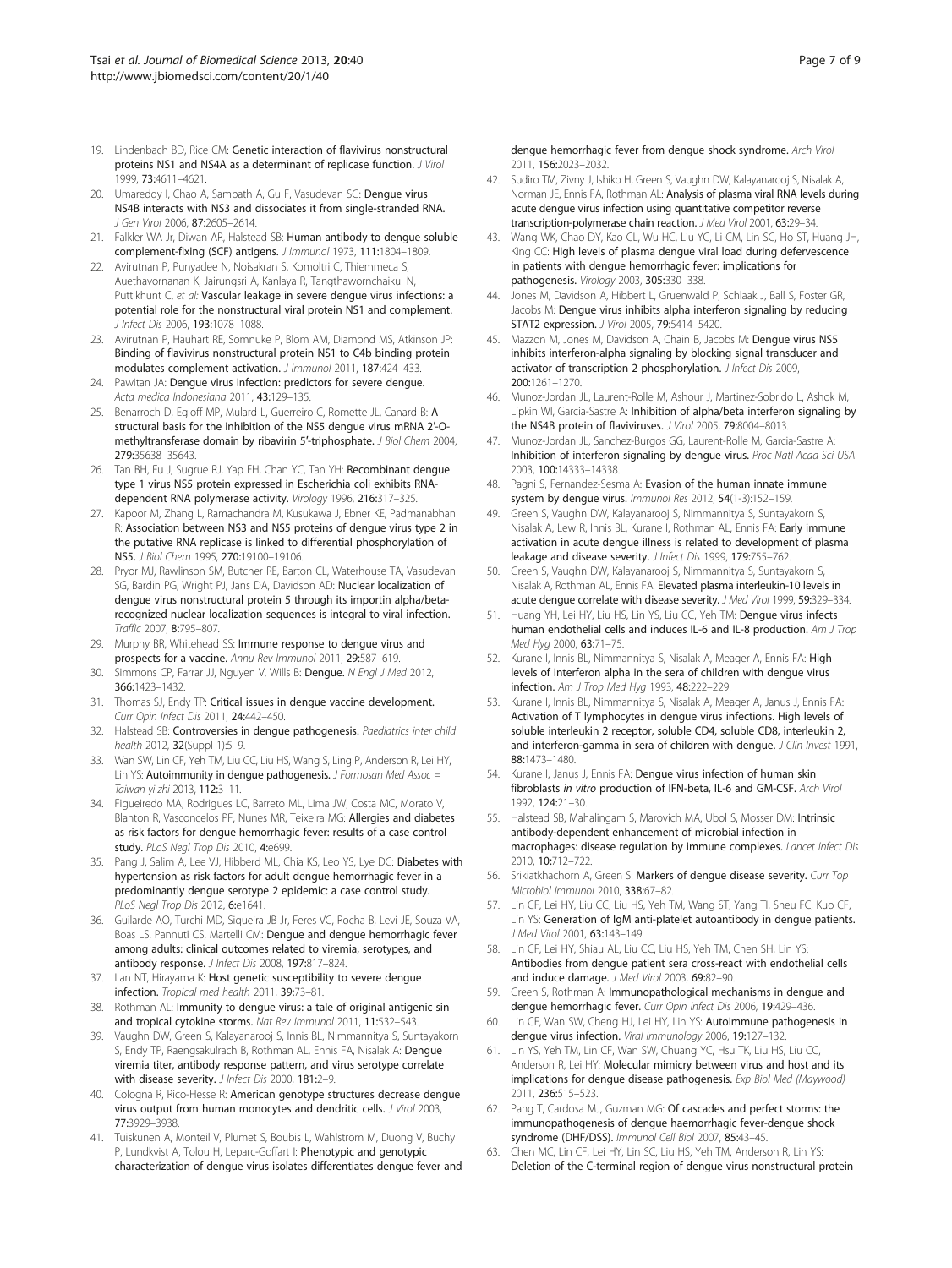- <span id="page-6-0"></span>19. Lindenbach BD, Rice CM: Genetic interaction of flavivirus nonstructural proteins NS1 and NS4A as a determinant of replicase function. J Virol 1999, 73:4611–4621.
- 20. Umareddy I, Chao A, Sampath A, Gu F, Vasudevan SG: Dengue virus NS4B interacts with NS3 and dissociates it from single-stranded RNA. J Gen Virol 2006, 87:2605–2614.
- 21. Falkler WA Jr, Diwan AR, Halstead SB: Human antibody to dengue soluble complement-fixing (SCF) antigens. J Immunol 1973, 111:1804–1809.
- 22. Avirutnan P, Punyadee N, Noisakran S, Komoltri C, Thiemmeca S, Auethavornanan K, Jairungsri A, Kanlaya R, Tangthawornchaikul N, Puttikhunt C, et al: Vascular leakage in severe dengue virus infections: a potential role for the nonstructural viral protein NS1 and complement. J Infect Dis 2006, 193:1078–1088.
- 23. Avirutnan P, Hauhart RE, Somnuke P, Blom AM, Diamond MS, Atkinson JP: Binding of flavivirus nonstructural protein NS1 to C4b binding protein modulates complement activation. J Immunol 2011, 187:424–433.
- 24. Pawitan JA: Dengue virus infection: predictors for severe dengue. Acta medica Indonesiana 2011, 43:129–135.
- 25. Benarroch D, Egloff MP, Mulard L, Guerreiro C, Romette JL, Canard B: A structural basis for the inhibition of the NS5 dengue virus mRNA 2′-Omethyltransferase domain by ribavirin 5'-triphosphate. J Biol Chem 2004, 279:35638–35643.
- 26. Tan BH, Fu J, Sugrue RJ, Yap EH, Chan YC, Tan YH: Recombinant dengue type 1 virus NS5 protein expressed in Escherichia coli exhibits RNAdependent RNA polymerase activity. Virology 1996, 216:317–325.
- 27. Kapoor M, Zhang L, Ramachandra M, Kusukawa J, Ebner KE, Padmanabhan R: Association between NS3 and NS5 proteins of dengue virus type 2 in the putative RNA replicase is linked to differential phosphorylation of NS5. J Biol Chem 1995, 270:19100–19106.
- 28. Pryor MJ, Rawlinson SM, Butcher RE, Barton CL, Waterhouse TA, Vasudevan SG, Bardin PG, Wright PJ, Jans DA, Davidson AD: Nuclear localization of dengue virus nonstructural protein 5 through its importin alpha/betarecognized nuclear localization sequences is integral to viral infection. Traffic 2007, 8:795–807.
- 29. Murphy BR, Whitehead SS: Immune response to dengue virus and prospects for a vaccine. Annu Rev Immunol 2011, 29:587–619.
- 30. Simmons CP, Farrar JJ, Nguyen V, Wills B: Dengue. N Engl J Med 2012, 366:1423–1432.
- 31. Thomas SJ, Endy TP: Critical issues in dengue vaccine development. Curr Opin Infect Dis 2011, 24:442–450.
- 32. Halstead SB: Controversies in dengue pathogenesis. Paediatrics inter child health 2012, 32(Suppl 1):5–9.
- 33. Wan SW, Lin CF, Yeh TM, Liu CC, Liu HS, Wang S, Ling P, Anderson R, Lei HY, Lin YS: Autoimmunity in dengue pathogenesis. J Formosan Med Assoc = Taiwan yi zhi 2013, 112:3–11.
- 34. Figueiredo MA, Rodrigues LC, Barreto ML, Lima JW, Costa MC, Morato V, Blanton R, Vasconcelos PF, Nunes MR, Teixeira MG: Allergies and diabetes as risk factors for dengue hemorrhagic fever: results of a case control study. PLoS Negl Trop Dis 2010, 4:e699.
- 35. Pang J, Salim A, Lee VJ, Hibberd ML, Chia KS, Leo YS, Lye DC: Diabetes with hypertension as risk factors for adult dengue hemorrhagic fever in a predominantly dengue serotype 2 epidemic: a case control study. PLoS Negl Trop Dis 2012, 6:e1641.
- 36. Guilarde AO, Turchi MD, Siqueira JB Jr, Feres VC, Rocha B, Levi JE, Souza VA, Boas LS, Pannuti CS, Martelli CM: Dengue and dengue hemorrhagic fever among adults: clinical outcomes related to viremia, serotypes, and antibody response. J Infect Dis 2008, 197:817-824.
- 37. Lan NT, Hirayama K: Host genetic susceptibility to severe dengue infection. Tropical med health 2011, 39:73–81.
- 38. Rothman AL: Immunity to dengue virus: a tale of original antigenic sin and tropical cytokine storms. Nat Rev Immunol 2011, 11:532–543.
- 39. Vaughn DW, Green S, Kalayanarooj S, Innis BL, Nimmannitya S, Suntayakorn S, Endy TP, Raengsakulrach B, Rothman AL, Ennis FA, Nisalak A: Dengue viremia titer, antibody response pattern, and virus serotype correlate with disease severity. J Infect Dis 2000, 181:2-9.
- 40. Cologna R, Rico-Hesse R: American genotype structures decrease dengue virus output from human monocytes and dendritic cells. J Virol 2003, 77:3929–3938.
- 41. Tuiskunen A, Monteil V, Plumet S, Boubis L, Wahlstrom M, Duong V, Buchy P, Lundkvist A, Tolou H, Leparc-Goffart I: Phenotypic and genotypic characterization of dengue virus isolates differentiates dengue fever and

dengue hemorrhagic fever from dengue shock syndrome. Arch Virol 2011, 156:2023–2032.

- 42. Sudiro TM, Zivny J, Ishiko H, Green S, Vaughn DW, Kalayanarooj S, Nisalak A, Norman JE, Ennis FA, Rothman AL: Analysis of plasma viral RNA levels during acute dengue virus infection using quantitative competitor reverse transcription-polymerase chain reaction. J Med Virol 2001, 63:29–34.
- 43. Wang WK, Chao DY, Kao CL, Wu HC, Liu YC, Li CM, Lin SC, Ho ST, Huang JH, King CC: High levels of plasma dengue viral load during defervescence in patients with dengue hemorrhagic fever: implications for pathogenesis. Virology 2003, 305:330–338.
- Jones M, Davidson A, Hibbert L, Gruenwald P, Schlaak J, Ball S, Foster GR, Jacobs M: Dengue virus inhibits alpha interferon signaling by reducing STAT2 expression. J Virol 2005, 79:5414–5420.
- 45. Mazzon M, Jones M, Davidson A, Chain B, Jacobs M: Dengue virus NS5 inhibits interferon-alpha signaling by blocking signal transducer and activator of transcription 2 phosphorylation. J Infect Dis 2009, 200:1261–1270.
- 46. Munoz-Jordan JL, Laurent-Rolle M, Ashour J, Martinez-Sobrido L, Ashok M, Lipkin WI, Garcia-Sastre A: Inhibition of alpha/beta interferon signaling by the NS4B protein of flaviviruses. J Virol 2005, 79:8004–8013.
- 47. Munoz-Jordan JL, Sanchez-Burgos GG, Laurent-Rolle M, Garcia-Sastre A: Inhibition of interferon signaling by dengue virus. Proc Natl Acad Sci USA 2003, 100:14333–14338.
- 48. Pagni S, Fernandez-Sesma A: Evasion of the human innate immune system by dengue virus. Immunol Res 2012, 54(1-3):152–159.
- 49. Green S, Vaughn DW, Kalayanarooj S, Nimmannitya S, Suntayakorn S, Nisalak A, Lew R, Innis BL, Kurane I, Rothman AL, Ennis FA: Early immune activation in acute dengue illness is related to development of plasma leakage and disease severity. J Infect Dis 1999, 179:755-762.
- 50. Green S, Vaughn DW, Kalayanarooj S, Nimmannitya S, Suntayakorn S, Nisalak A, Rothman AL, Ennis FA: Elevated plasma interleukin-10 levels in acute dengue correlate with disease severity. J Med Virol 1999, 59:329-334.
- 51. Huang YH, Lei HY, Liu HS, Lin YS, Liu CC, Yeh TM: Dengue virus infects human endothelial cells and induces IL-6 and IL-8 production. Am J Trop Med Hyg 2000, 63:71–75.
- 52. Kurane I, Innis BL, Nimmannitya S, Nisalak A, Meager A, Ennis FA: High levels of interferon alpha in the sera of children with dengue virus infection. Am J Trop Med Hyg 1993, 48:222–229.
- 53. Kurane I, Innis BL, Nimmannitya S, Nisalak A, Meager A, Janus J, Ennis FA: Activation of T lymphocytes in dengue virus infections. High levels of soluble interleukin 2 receptor, soluble CD4, soluble CD8, interleukin 2, and interferon-gamma in sera of children with dengue. J Clin Invest 1991, 88:1473–1480.
- 54. Kurane I, Janus J, Ennis FA: Dengue virus infection of human skin fibroblasts in vitro production of IFN-beta, IL-6 and GM-CSF. Arch Virol 1992, 124:21–30.
- 55. Halstead SB, Mahalingam S, Marovich MA, Ubol S, Mosser DM: Intrinsic antibody-dependent enhancement of microbial infection in macrophages: disease regulation by immune complexes. Lancet Infect Dis 2010, 10:712–722.
- 56. Srikiatkhachorn A, Green S: Markers of dengue disease severity. Curr Top Microbiol Immunol 2010, 338:67–82.
- 57. Lin CF, Lei HY, Liu CC, Liu HS, Yeh TM, Wang ST, Yang TI, Sheu FC, Kuo CF, Lin YS: Generation of IgM anti-platelet autoantibody in dengue patients. J Med Virol 2001, 63:143–149.
- 58. Lin CF, Lei HY, Shiau AL, Liu CC, Liu HS, Yeh TM, Chen SH, Lin YS: Antibodies from dengue patient sera cross-react with endothelial cells and induce damage. J Med Virol 2003, 69:82-90.
- 59. Green S, Rothman A: Immunopathological mechanisms in dengue and dengue hemorrhagic fever. Curr Opin Infect Dis 2006, 19:429-436.
- Lin CF, Wan SW, Cheng HJ, Lei HY, Lin YS: Autoimmune pathogenesis in dengue virus infection. Viral immunology 2006, 19:127–132.
- 61. Lin YS, Yeh TM, Lin CF, Wan SW, Chuang YC, Hsu TK, Liu HS, Liu CC, Anderson R, Lei HY: Molecular mimicry between virus and host and its implications for dengue disease pathogenesis. Exp Biol Med (Maywood) 2011, 236:515–523.
- 62. Pang T, Cardosa MJ, Guzman MG: Of cascades and perfect storms: the immunopathogenesis of dengue haemorrhagic fever-dengue shock syndrome (DHF/DSS). Immunol Cell Biol 2007, 85:43–45.
- 63. Chen MC, Lin CF, Lei HY, Lin SC, Liu HS, Yeh TM, Anderson R, Lin YS: Deletion of the C-terminal region of dengue virus nonstructural protein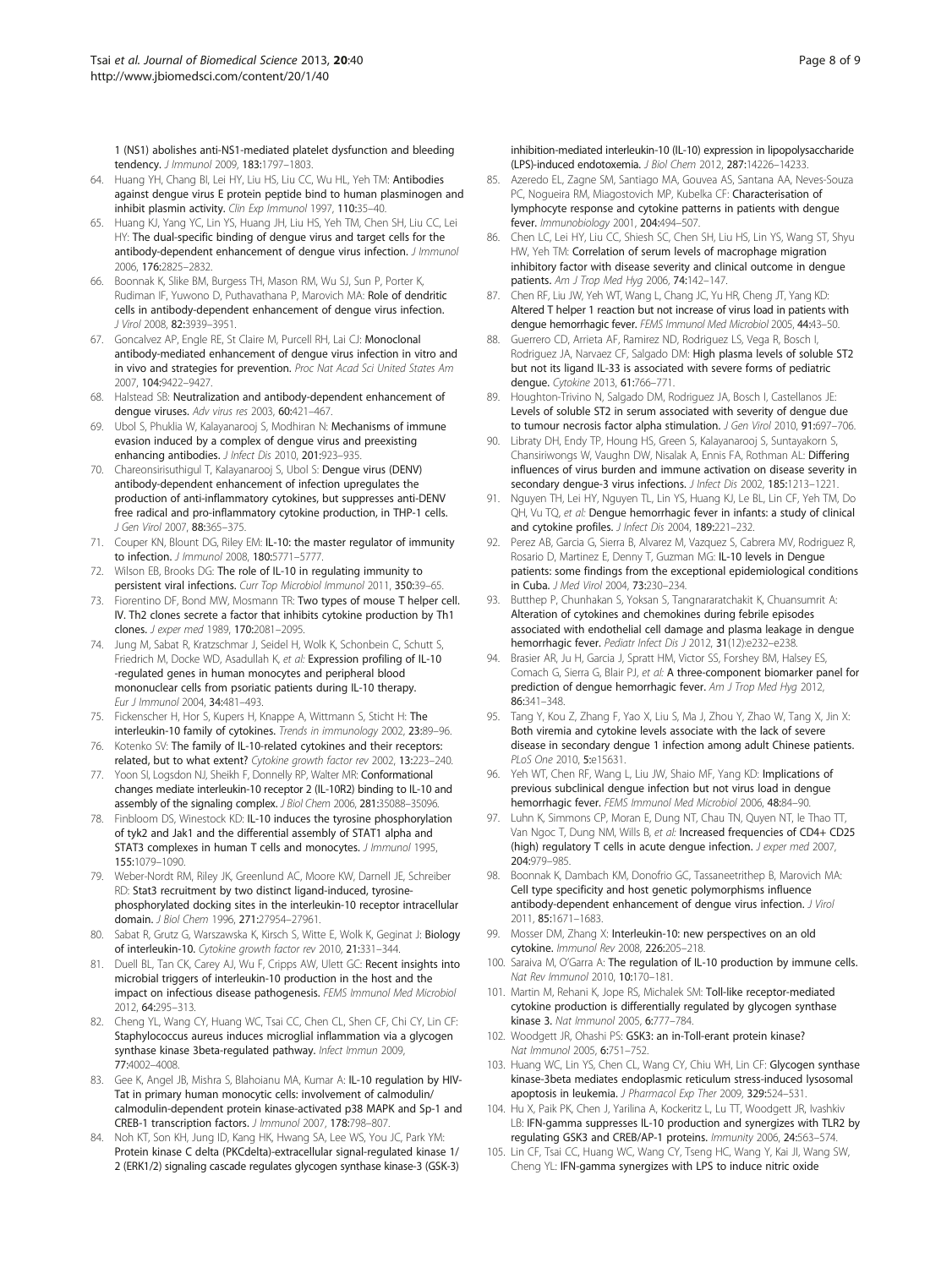<span id="page-7-0"></span>1 (NS1) abolishes anti-NS1-mediated platelet dysfunction and bleeding tendency. J Immunol 2009, 183:1797–1803.

- 64. Huang YH, Chang BI, Lei HY, Liu HS, Liu CC, Wu HL, Yeh TM: Antibodies against dengue virus E protein peptide bind to human plasminogen and inhibit plasmin activity. Clin Exp Immunol 1997, 110:35-40.
- 65. Huang KJ, Yang YC, Lin YS, Huang JH, Liu HS, Yeh TM, Chen SH, Liu CC, Lei HY: The dual-specific binding of dengue virus and target cells for the antibody-dependent enhancement of dengue virus infection. J Immunol 2006, 176:2825–2832.
- 66. Boonnak K, Slike BM, Burgess TH, Mason RM, Wu SJ, Sun P, Porter K, Rudiman IF, Yuwono D, Puthavathana P, Marovich MA: Role of dendritic cells in antibody-dependent enhancement of dengue virus infection. J Virol 2008, 82:3939–3951.
- 67. Goncalvez AP, Engle RE, St Claire M, Purcell RH, Lai CJ: Monoclonal antibody-mediated enhancement of dengue virus infection in vitro and in vivo and strategies for prevention. Proc Nat Acad Sci United States Am 2007, 104:9422–9427.
- Halstead SB: Neutralization and antibody-dependent enhancement of dengue viruses. Adv virus res 2003, 60:421–467.
- 69. Ubol S, Phuklia W, Kalayanarooj S, Modhiran N: Mechanisms of immune evasion induced by a complex of dengue virus and preexisting enhancing antibodies. J Infect Dis 2010, 201:923-935.
- 70. Chareonsirisuthigul T, Kalayanarooj S, Ubol S: Dengue virus (DENV) antibody-dependent enhancement of infection upregulates the production of anti-inflammatory cytokines, but suppresses anti-DENV free radical and pro-inflammatory cytokine production, in THP-1 cells. J Gen Virol 2007, 88:365–375.
- 71. Couper KN, Blount DG, Riley EM: IL-10: the master regulator of immunity to infection. J Immunol 2008, 180:5771–5777.
- 72. Wilson EB, Brooks DG: The role of IL-10 in regulating immunity to persistent viral infections. Curr Top Microbiol Immunol 2011, 350:39–65.
- 73. Fiorentino DF, Bond MW, Mosmann TR: Two types of mouse T helper cell. IV. Th2 clones secrete a factor that inhibits cytokine production by Th1 clones. J exper med 1989, 170:2081–2095.
- 74. Jung M, Sabat R, Kratzschmar J, Seidel H, Wolk K, Schonbein C, Schutt S, Friedrich M, Docke WD, Asadullah K, et al: Expression profiling of IL-10 -regulated genes in human monocytes and peripheral blood mononuclear cells from psoriatic patients during IL-10 therapy. Eur J Immunol 2004, 34:481–493.
- 75. Fickenscher H, Hor S, Kupers H, Knappe A, Wittmann S, Sticht H: The interleukin-10 family of cytokines. Trends in immunology 2002, 23:89–96.
- 76. Kotenko SV: The family of IL-10-related cytokines and their receptors: related, but to what extent? Cytokine growth factor rev 2002, 13:223–240.
- 77. Yoon SI, Logsdon NJ, Sheikh F, Donnelly RP, Walter MR: Conformational changes mediate interleukin-10 receptor 2 (IL-10R2) binding to IL-10 and assembly of the signaling complex. J Biol Chem 2006, 281:35088–35096.
- 78. Finbloom DS, Winestock KD: IL-10 induces the tyrosine phosphorylation of tyk2 and Jak1 and the differential assembly of STAT1 alpha and STAT3 complexes in human T cells and monocytes. J Immunol 1995, 155:1079–1090.
- 79. Weber-Nordt RM, Riley JK, Greenlund AC, Moore KW, Darnell JE, Schreiber RD: Stat3 recruitment by two distinct ligand-induced, tyrosinephosphorylated docking sites in the interleukin-10 receptor intracellular domain. J Biol Chem 1996, 271:27954–27961.
- 80. Sabat R, Grutz G, Warszawska K, Kirsch S, Witte E, Wolk K, Geginat J: Biology of interleukin-10. Cytokine growth factor rev 2010, 21:331–344.
- 81. Duell BL, Tan CK, Carey AJ, Wu F, Cripps AW, Ulett GC: Recent insights into microbial triggers of interleukin-10 production in the host and the impact on infectious disease pathogenesis. FEMS Immunol Med Microbiol 2012, 64:295–313.
- 82. Cheng YL, Wang CY, Huang WC, Tsai CC, Chen CL, Shen CF, Chi CY, Lin CF: Staphylococcus aureus induces microglial inflammation via a glycogen synthase kinase 3beta-regulated pathway. Infect Immun 2009, 77:4002–4008.
- 83. Gee K, Angel JB, Mishra S, Blahoianu MA, Kumar A: IL-10 regulation by HIV-Tat in primary human monocytic cells: involvement of calmodulin/ calmodulin-dependent protein kinase-activated p38 MAPK and Sp-1 and CREB-1 transcription factors. J Immunol 2007, 178:798–807.
- 84. Noh KT, Son KH, Jung ID, Kang HK, Hwang SA, Lee WS, You JC, Park YM: Protein kinase C delta (PKCdelta)-extracellular signal-regulated kinase 1/ 2 (ERK1/2) signaling cascade regulates glycogen synthase kinase-3 (GSK-3)

inhibition-mediated interleukin-10 (IL-10) expression in lipopolysaccharide (LPS)-induced endotoxemia. J Biol Chem 2012, 287:14226–14233.

- 85. Azeredo EL, Zagne SM, Santiago MA, Gouvea AS, Santana AA, Neves-Souza PC, Nogueira RM, Miagostovich MP, Kubelka CF: Characterisation of lymphocyte response and cytokine patterns in patients with dengue fever. Immunobiology 2001, 204:494–507.
- 86. Chen LC, Lei HY, Liu CC, Shiesh SC, Chen SH, Liu HS, Lin YS, Wang ST, Shyu HW, Yeh TM: Correlation of serum levels of macrophage migration inhibitory factor with disease severity and clinical outcome in dengue patients. Am J Trop Med Hyg 2006, 74:142–147.
- 87. Chen RF, Liu JW, Yeh WT, Wang L, Chang JC, Yu HR, Cheng JT, Yang KD: Altered T helper 1 reaction but not increase of virus load in patients with dengue hemorrhagic fever. FEMS Immunol Med Microbiol 2005, 44:43–50.
- 88. Guerrero CD, Arrieta AF, Ramirez ND, Rodriguez LS, Vega R, Bosch I, Rodriguez JA, Narvaez CF, Salgado DM: High plasma levels of soluble ST2 but not its ligand IL-33 is associated with severe forms of pediatric dengue. Cytokine 2013, 61:766–771.
- Houghton-Trivino N, Salgado DM, Rodriguez JA, Bosch I, Castellanos JE: Levels of soluble ST2 in serum associated with severity of dengue due to tumour necrosis factor alpha stimulation. J Gen Virol 2010, 91:697-706.
- 90. Libraty DH, Endy TP, Houng HS, Green S, Kalayanarooj S, Suntayakorn S, Chansiriwongs W, Vaughn DW, Nisalak A, Ennis FA, Rothman AL: Differing influences of virus burden and immune activation on disease severity in secondary dengue-3 virus infections. J Infect Dis 2002, 185:1213–1221.
- 91. Nguyen TH, Lei HY, Nguyen TL, Lin YS, Huang KJ, Le BL, Lin CF, Yeh TM, Do QH, Vu TQ, et al: Dengue hemorrhagic fever in infants: a study of clinical and cytokine profiles. J Infect Dis 2004, 189:221-232.
- 92. Perez AB, Garcia G, Sierra B, Alvarez M, Vazquez S, Cabrera MV, Rodriguez R, Rosario D, Martinez E, Denny T, Guzman MG: IL-10 levels in Dengue patients: some findings from the exceptional epidemiological conditions in Cuba. J Med Virol 2004, 73:230–234.
- 93. Butthep P, Chunhakan S, Yoksan S, Tangnararatchakit K, Chuansumrit A: Alteration of cytokines and chemokines during febrile episodes associated with endothelial cell damage and plasma leakage in dengue hemorrhagic fever. Pediatr Infect Dis J 2012, 31(12):e232-e238.
- 94. Brasier AR, Ju H, Garcia J, Spratt HM, Victor SS, Forshey BM, Halsey ES, Comach G, Sierra G, Blair PJ, et al: A three-component biomarker panel for prediction of dengue hemorrhagic fever. Am J Trop Med Hyg 2012, 86:341–348.
- 95. Tang Y, Kou Z, Zhang F, Yao X, Liu S, Ma J, Zhou Y, Zhao W, Tang X, Jin X: Both viremia and cytokine levels associate with the lack of severe disease in secondary dengue 1 infection among adult Chinese patients. PLoS One 2010, 5:e15631.
- 96. Yeh WT, Chen RF, Wang L, Liu JW, Shaio MF, Yang KD: Implications of previous subclinical dengue infection but not virus load in dengue hemorrhagic fever. FEMS Immunol Med Microbiol 2006, 48:84–90.
- 97. Luhn K, Simmons CP, Moran E, Dung NT, Chau TN, Quyen NT, le Thao TT, Van Ngoc T, Dung NM, Wills B, et al: Increased frequencies of CD4+ CD25 (high) regulatory T cells in acute dengue infection. J exper med 2007, 204:979–985.
- 98. Boonnak K, Dambach KM, Donofrio GC, Tassaneetrithep B, Marovich MA: Cell type specificity and host genetic polymorphisms influence antibody-dependent enhancement of dengue virus infection. J Virol 2011, 85:1671–1683.
- 99. Mosser DM, Zhang X: Interleukin-10: new perspectives on an old cytokine. Immunol Rev 2008, 226:205–218.
- 100. Saraiva M, O'Garra A: The regulation of IL-10 production by immune cells. Nat Rev Immunol 2010, 10:170–181.
- 101. Martin M, Rehani K, Jope RS, Michalek SM: Toll-like receptor-mediated cytokine production is differentially regulated by glycogen synthase kinase 3. Nat Immunol 2005, 6:777–784.
- 102. Woodgett JR, Ohashi PS: GSK3: an in-Toll-erant protein kinase? Nat Immunol 2005, 6:751–752.
- 103. Huang WC, Lin YS, Chen CL, Wang CY, Chiu WH, Lin CF: Glycogen synthase kinase-3beta mediates endoplasmic reticulum stress-induced lysosomal apoptosis in leukemia. J Pharmacol Exp Ther 2009, 329:524-531.
- 104. Hu X, Paik PK, Chen J, Yarilina A, Kockeritz L, Lu TT, Woodgett JR, Ivashkiv LB: IFN-gamma suppresses IL-10 production and synergizes with TLR2 by regulating GSK3 and CREB/AP-1 proteins. Immunity 2006, 24:563–574.
- 105. Lin CF, Tsai CC, Huang WC, Wang CY, Tseng HC, Wang Y, Kai JI, Wang SW, Cheng YL: IFN-gamma synergizes with LPS to induce nitric oxide